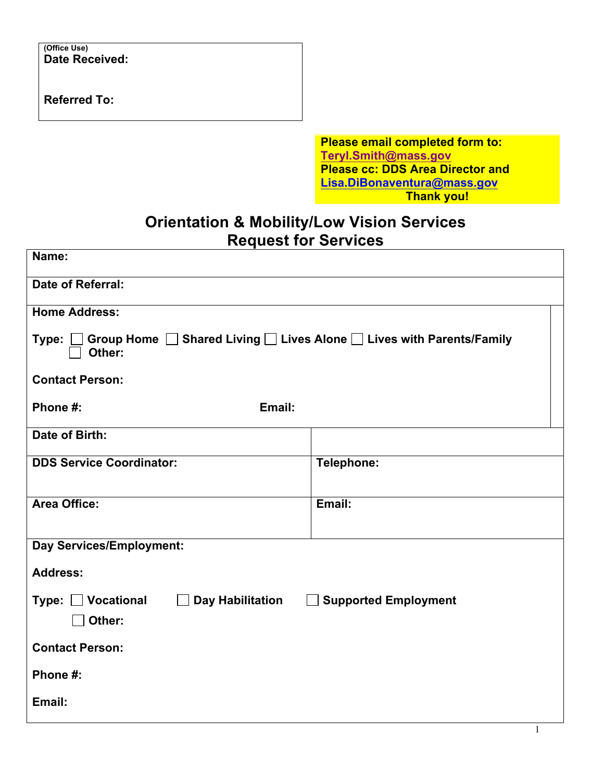**(Office Use) Date Received:** 

**Referred To:** 

**Please email completed form to: Teryl.Smith@mass.gov Please cc: DDS Area Director and Lisa.DiBonaventura@mass.gov Thank you!** 

## **Orientation & Mobility/Low Vision Services Request for Services**

| Name:                                                                             |                                         |  |
|-----------------------------------------------------------------------------------|-----------------------------------------|--|
| Date of Referral:                                                                 |                                         |  |
| <b>Home Address:</b>                                                              |                                         |  |
| Group Home Shared Living Lives Alone Lives with Parents/Family<br>Type:<br>Other: |                                         |  |
| <b>Contact Person:</b>                                                            |                                         |  |
| Email:<br>Phone #:                                                                |                                         |  |
| Date of Birth:                                                                    |                                         |  |
| <b>DDS Service Coordinator:</b>                                                   | Telephone:                              |  |
| <b>Area Office:</b>                                                               | Email:                                  |  |
| Day Services/Employment:                                                          |                                         |  |
| <b>Address:</b>                                                                   |                                         |  |
| Vocational<br>Type:<br>$\perp$<br>Other:                                          | Day Habilitation   Supported Employment |  |
| <b>Contact Person:</b>                                                            |                                         |  |
| Phone #:                                                                          |                                         |  |
| Email:                                                                            |                                         |  |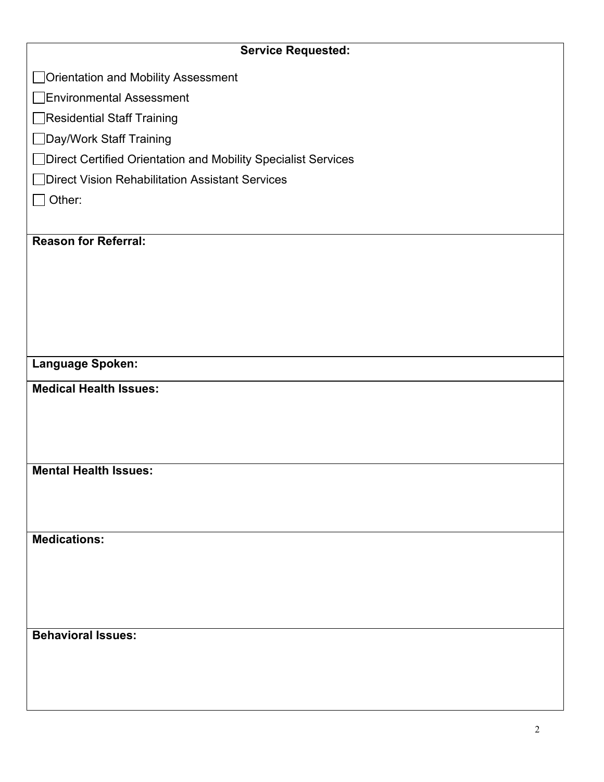| <b>Service Requested:</b>                                     |
|---------------------------------------------------------------|
| Orientation and Mobility Assessment                           |
| <b>Environmental Assessment</b>                               |
| Residential Staff Training                                    |
| Day/Work Staff Training                                       |
| Direct Certified Orientation and Mobility Specialist Services |
| Direct Vision Rehabilitation Assistant Services               |
| Other:                                                        |
|                                                               |
| <b>Reason for Referral:</b>                                   |
|                                                               |
|                                                               |
|                                                               |
|                                                               |
|                                                               |
| Language Spoken:                                              |
| <b>Medical Health Issues:</b>                                 |
|                                                               |
|                                                               |
|                                                               |
| <b>Mental Health Issues:</b>                                  |
|                                                               |
|                                                               |
| <b>Medications:</b>                                           |
|                                                               |
|                                                               |
|                                                               |
|                                                               |
| <b>Behavioral Issues:</b>                                     |
|                                                               |
|                                                               |
|                                                               |